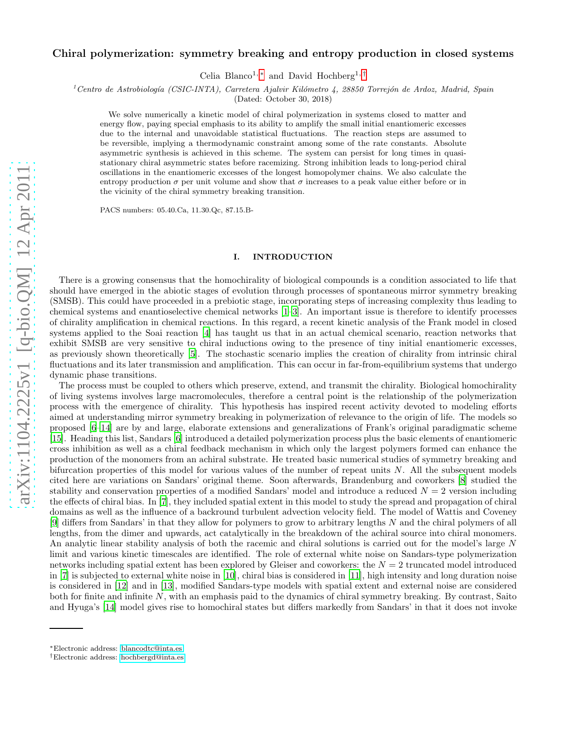# Chiral polymerization: symmetry breaking and entropy production in closed systems

Celia Blanco<sup>1,\*</sup> and David Hochberg<sup>1,[†](#page-0-1)</sup>

<sup>1</sup> Centro de Astrobiología (CSIC-INTA), Carretera Ajalvir Kilómetro 4, 28850 Torrejón de Ardoz, Madrid, Spain

(Dated: October 30, 2018)

We solve numerically a kinetic model of chiral polymerization in systems closed to matter and energy flow, paying special emphasis to its ability to amplify the small initial enantiomeric excesses due to the internal and unavoidable statistical fluctuations. The reaction steps are assumed to be reversible, implying a thermodynamic constraint among some of the rate constants. Absolute asymmetric synthesis is achieved in this scheme. The system can persist for long times in quasistationary chiral asymmetric states before racemizing. Strong inhibition leads to long-period chiral oscillations in the enantiomeric excesses of the longest homopolymer chains. We also calculate the entropy production  $\sigma$  per unit volume and show that  $\sigma$  increases to a peak value either before or in the vicinity of the chiral symmetry breaking transition.

PACS numbers: 05.40.Ca, 11.30.Qc, 87.15.B-

## I. INTRODUCTION

There is a growing consensus that the homochirality of biological compounds is a condition associated to life that should have emerged in the abiotic stages of evolution through processes of spontaneous mirror symmetry breaking (SMSB). This could have proceeded in a prebiotic stage, incorporating steps of increasing complexity thus leading to chemical systems and enantioselective chemical networks [\[1](#page-13-0)[–3](#page-13-1)]. An important issue is therefore to identify processes of chirality amplification in chemical reactions. In this regard, a recent kinetic analysis of the Frank model in closed systems applied to the Soai reaction [\[4](#page-13-2)] has taught us that in an actual chemical scenario, reaction networks that exhibit SMSB are very sensitive to chiral inductions owing to the presence of tiny initial enantiomeric excesses, as previously shown theoretically [\[5](#page-13-3)]. The stochastic scenario implies the creation of chirality from intrinsic chiral fluctuations and its later transmission and amplification. This can occur in far-from-equilibrium systems that undergo dynamic phase transitions.

The process must be coupled to others which preserve, extend, and transmit the chirality. Biological homochirality of living systems involves large macromolecules, therefore a central point is the relationship of the polymerization process with the emergence of chirality. This hypothesis has inspired recent activity devoted to modeling efforts aimed at understanding mirror symmetry breaking in polymerization of relevance to the origin of life. The models so proposed [\[6](#page-13-4)[–14\]](#page-13-5) are by and large, elaborate extensions and generalizations of Frank's original paradigmatic scheme [\[15\]](#page-13-6). Heading this list, Sandars [\[6](#page-13-4)] introduced a detailed polymerization process plus the basic elements of enantiomeric cross inhibition as well as a chiral feedback mechanism in which only the largest polymers formed can enhance the production of the monomers from an achiral substrate. He treated basic numerical studies of symmetry breaking and bifurcation properties of this model for various values of the number of repeat units  $N$ . All the subsequent models cited here are variations on Sandars' original theme. Soon afterwards, Brandenburg and coworkers [\[8\]](#page-13-7) studied the stability and conservation properties of a modified Sandars' model and introduce a reduced  $N = 2$  version including the effects of chiral bias. In [\[7\]](#page-13-8), they included spatial extent in this model to study the spread and propagation of chiral domains as well as the influence of a backround turbulent advection velocity field. The model of Wattis and Coveney [\[9\]](#page-13-9) differs from Sandars' in that they allow for polymers to grow to arbitrary lengths N and the chiral polymers of all lengths, from the dimer and upwards, act catalytically in the breakdown of the achiral source into chiral monomers. An analytic linear stability analysis of both the racemic and chiral solutions is carried out for the model's large N limit and various kinetic timescales are identified. The role of external white noise on Sandars-type polymerization networks including spatial extent has been explored by Gleiser and coworkers: the  $N = 2$  truncated model introduced in [\[7\]](#page-13-8) is subjected to external white noise in [\[10](#page-13-10)], chiral bias is considered in [\[11](#page-13-11)], high intensity and long duration noise is considered in [\[12\]](#page-13-12) and in [\[13\]](#page-13-13), modified Sandars-type models with spatial extent and external noise are considered both for finite and infinite N, with an emphasis paid to the dynamics of chiral symmetry breaking. By contrast, Saito and Hyuga's [\[14\]](#page-13-5) model gives rise to homochiral states but differs markedly from Sandars' in that it does not invoke

<span id="page-0-0"></span><sup>∗</sup>Electronic address: [blancodtc@inta.es](mailto:blancodtc@inta.es)

<span id="page-0-1"></span><sup>†</sup>Electronic address: [hochbergd@inta.es](mailto:hochbergd@inta.es)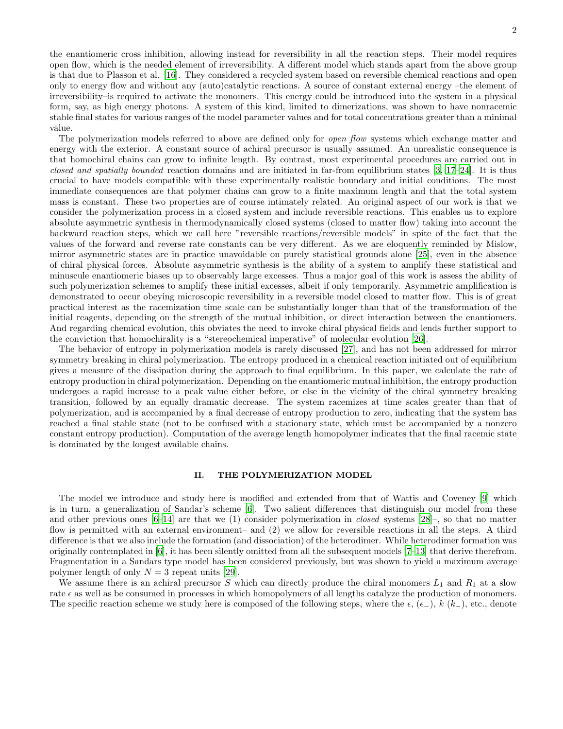the enantiomeric cross inhibition, allowing instead for reversibility in all the reaction steps. Their model requires open flow, which is the needed element of irreversibility. A different model which stands apart from the above group is that due to Plasson et al. [\[16\]](#page-13-14). They considered a recycled system based on reversible chemical reactions and open only to energy flow and without any (auto)catalytic reactions. A source of constant external energy –the element of irreversibility–is required to activate the monomers. This energy could be introduced into the system in a physical form, say, as high energy photons. A system of this kind, limited to dimerizations, was shown to have nonracemic stable final states for various ranges of the model parameter values and for total concentrations greater than a minimal value.

The polymerization models referred to above are defined only for *open flow* systems which exchange matter and energy with the exterior. A constant source of achiral precursor is usually assumed. An unrealistic consequence is that homochiral chains can grow to infinite length. By contrast, most experimental procedures are carried out in closed and spatially bounded reaction domains and are initiated in far-from equilibrium states [\[3,](#page-13-1) [17–](#page-13-15)[24\]](#page-13-16). It is thus crucial to have models compatible with these experimentally realistic boundary and initial conditions. The most immediate consequences are that polymer chains can grow to a finite maximum length and that the total system mass is constant. These two properties are of course intimately related. An original aspect of our work is that we consider the polymerization process in a closed system and include reversible reactions. This enables us to explore absolute asymmetric synthesis in thermodynamically closed systems (closed to matter flow) taking into account the backward reaction steps, which we call here "reversible reactions/reversible models" in spite of the fact that the values of the forward and reverse rate constants can be very different. As we are eloquently reminded by Mislow, mirror asymmetric states are in practice unavoidable on purely statistical grounds alone [\[25\]](#page-13-17), even in the absence of chiral physical forces. Absolute asymmetric synthesis is the ability of a system to amplify these statistical and minuscule enantiomeric biases up to observably large excesses. Thus a major goal of this work is assess the ability of such polymerization schemes to amplify these initial excesses, albeit if only temporarily. Asymmetric amplification is demonstrated to occur obeying microscopic reversibility in a reversible model closed to matter flow. This is of great practical interest as the racemization time scale can be substantially longer than that of the transformation of the initial reagents, depending on the strength of the mutual inhibition, or direct interaction between the enantiomers. And regarding chemical evolution, this obviates the need to invoke chiral physical fields and lends further support to the conviction that homochirality is a "stereochemical imperative" of molecular evolution [\[26\]](#page-13-18).

The behavior of entropy in polymerization models is rarely discussed [\[27](#page-13-19)], and has not been addressed for mirror symmetry breaking in chiral polymerization. The entropy produced in a chemical reaction initiated out of equilibrium gives a measure of the dissipation during the approach to final equilibrium. In this paper, we calculate the rate of entropy production in chiral polymerization. Depending on the enantiomeric mutual inhibition, the entropy production undergoes a rapid increase to a peak value either before, or else in the vicinity of the chiral symmetry breaking transition, followed by an equally dramatic decrease. The system racemizes at time scales greater than that of polymerization, and is accompanied by a final decrease of entropy production to zero, indicating that the system has reached a final stable state (not to be confused with a stationary state, which must be accompanied by a nonzero constant entropy production). Computation of the average length homopolymer indicates that the final racemic state is dominated by the longest available chains.

# II. THE POLYMERIZATION MODEL

The model we introduce and study here is modified and extended from that of Wattis and Coveney [\[9\]](#page-13-9) which is in turn, a generalization of Sandar's scheme [\[6](#page-13-4)]. Two salient differences that distinguish our model from these and other previous ones  $[6-14]$  are that we (1) consider polymerization in *closed* systems  $[28]$ , so that no matter flow is permitted with an external environment– and (2) we allow for reversible reactions in all the steps. A third difference is that we also include the formation (and dissociation) of the heterodimer. While heterodimer formation was originally contemplated in [\[6\]](#page-13-4), it has been silently omitted from all the subsequent models [\[7](#page-13-8)[–13](#page-13-13)] that derive therefrom. Fragmentation in a Sandars type model has been considered previously, but was shown to yield a maximum average polymer length of only  $N = 3$  repeat units [\[29\]](#page-13-21).

We assume there is an achiral precursor S which can directly produce the chiral monomers  $L_1$  and  $R_1$  at a slow rate  $\epsilon$  as well as be consumed in processes in which homopolymers of all lengths catalyze the production of monomers. The specific reaction scheme we study here is composed of the following steps, where the  $\epsilon$ , ( $\epsilon$ –),  $k(k-)$ , etc., denote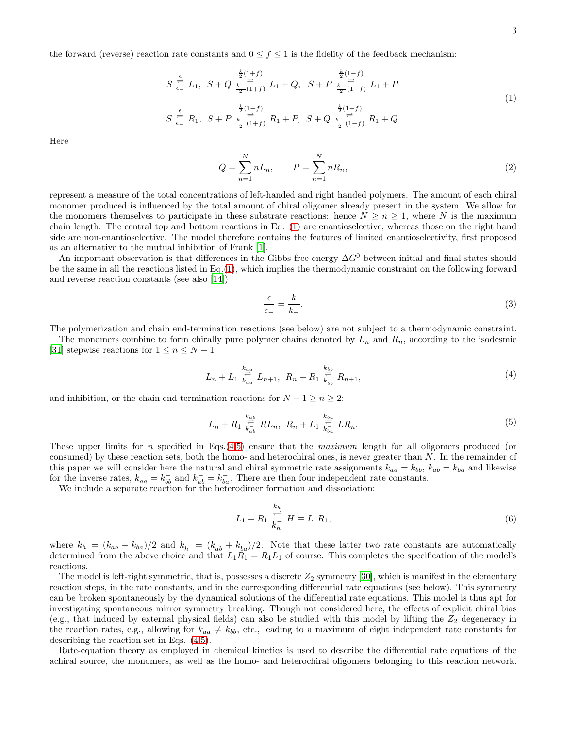the forward (reverse) reaction rate constants and  $0 \le f \le 1$  is the fidelity of the feedback mechanism:

<span id="page-2-0"></span>
$$
S \stackrel{\epsilon}{\underset{\epsilon}{\rightleftharpoons}} L_1, \ S + Q \stackrel{\frac{k}{2}(1+f)}{\underset{\epsilon}{\rightleftharpoons}} L_1 + Q, \ S + P \stackrel{\frac{k}{2}(1-f)}{\underset{\epsilon}{\rightleftharpoons}} L_1 + P
$$
\n
$$
S \stackrel{\epsilon}{\underset{\epsilon}{\rightleftharpoons}} R_1, \ S + P \stackrel{\frac{k}{2}(1+f)}{\underset{\epsilon}{\rightleftharpoons}} R_1 + P, \ S + Q \stackrel{\frac{k}{2}(1-f)}{\underset{\epsilon}{\rightleftharpoons}} (1-f) \quad R_1 + Q.
$$
\n(1)

Here

$$
Q = \sum_{n=1}^{N} n L_n, \qquad P = \sum_{n=1}^{N} n R_n,
$$
\n(2)

represent a measure of the total concentrations of left-handed and right handed polymers. The amount of each chiral monomer produced is influenced by the total amount of chiral oligomer already present in the system. We allow for the monomers themselves to participate in these substrate reactions: hence  $N \geq n \geq 1$ , where N is the maximum chain length. The central top and bottom reactions in Eq. [\(1\)](#page-2-0) are enantioselective, whereas those on the right hand side are non-enantioselective. The model therefore contains the features of limited enantioselectivity, first proposed as an alternative to the mutual inhibition of Frank [\[1](#page-13-0)].

An important observation is that differences in the Gibbs free energy  $\Delta G^0$  between initial and final states should be the same in all the reactions listed in Eq.[\(1\)](#page-2-0), which implies the thermodynamic constraint on the following forward and reverse reaction constants (see also [\[14\]](#page-13-5))

$$
\frac{\epsilon}{\epsilon_{-}} = \frac{k}{k_{-}}.\tag{3}
$$

The polymerization and chain end-termination reactions (see below) are not subject to a thermodynamic constraint.

The monomers combine to form chirally pure polymer chains denoted by  $L_n$  and  $R_n$ , according to the isodesmic [\[31\]](#page-13-22) stepwise reactions for  $1 \leq n \leq N-1$ 

<span id="page-2-1"></span>
$$
L_n + L_1 \stackrel{k_{aa}}{\underset{k_{aa}}{\rightleftharpoons}} L_{n+1}, \ R_n + R_1 \stackrel{k_{bb}}{\underset{k_{bb}}{\rightleftharpoons}} R_{n+1}, \tag{4}
$$

and inhibition, or the chain end-termination reactions for  $N - 1 \ge n \ge 2$ :

<span id="page-2-2"></span>
$$
L_n + R_1 \stackrel{k_{ab}}{\underset{k_{ab}}{\rightleftharpoons}} RL_n, \ R_n + L_1 \stackrel{k_{ba}}{\underset{k_{ba}}{\rightleftharpoons}} LR_n. \tag{5}
$$

These upper limits for n specified in Eqs.[\(4](#page-2-1)[,5\)](#page-2-2) ensure that the maximum length for all oligomers produced (or consumed) by these reaction sets, both the homo- and heterochiral ones, is never greater than N. In the remainder of this paper we will consider here the natural and chiral symmetric rate assignments  $k_{aa} = k_{bb}$ ,  $k_{ab} = k_{ba}$  and likewise for the inverse rates,  $k_{aa}^- = k_{bb}^-$  and  $k_{ab}^- = k_{ba}^-$ . There are then four independent rate constants.

We include a separate reaction for the heterodimer formation and dissociation:

<span id="page-2-3"></span>
$$
L_1 + R_1 \stackrel{k_h}{\underset{k_h^-}{\rightleftharpoons}} H \equiv L_1 R_1,\tag{6}
$$

where  $k_h = (k_{ab} + k_{ba})/2$  and  $k_h^- = (k_{ab}^- + k_{ba}^-)/2$ . Note that these latter two rate constants are automatically determined from the above choice and that  $L_1R_1 = R_1L_1$  of course. This completes the specification of the model's reactions.

The model is left-right symmetric, that is, possesses a discrete  $Z_2$  symmetry [\[30\]](#page-13-23), which is manifest in the elementary reaction steps, in the rate constants, and in the corresponding differential rate equations (see below). This symmetry can be broken spontaneously by the dynamical solutions of the differential rate equations. This model is thus apt for investigating spontaneous mirror symmetry breaking. Though not considered here, the effects of explicit chiral bias (e.g., that induced by external physical fields) can also be studied with this model by lifting the  $Z_2$  degeneracy in the reaction rates, e.g., allowing for  $k_{aa} \neq k_{bb}$ , etc., leading to a maximum of eight independent rate constants for describing the reaction set in Eqs. [\(4](#page-2-1)[,5\)](#page-2-2).

Rate-equation theory as employed in chemical kinetics is used to describe the differential rate equations of the achiral source, the monomers, as well as the homo- and heterochiral oligomers belonging to this reaction network.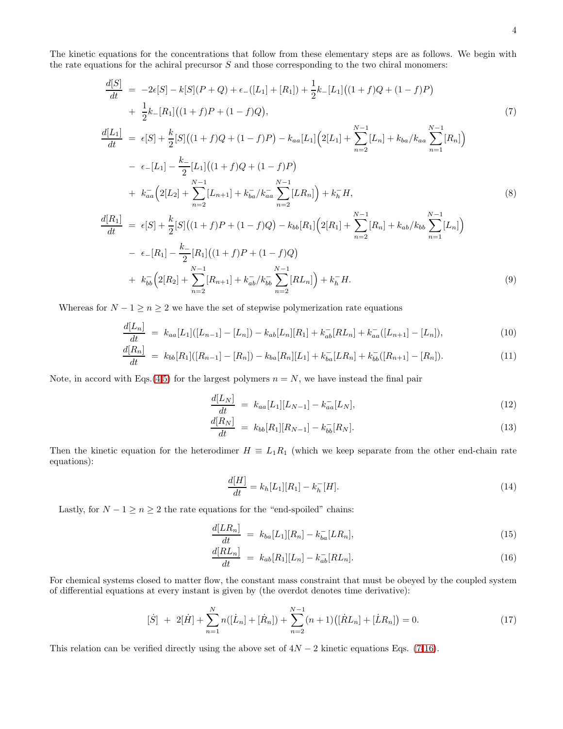The kinetic equations for the concentrations that follow from these elementary steps are as follows. We begin with the rate equations for the achiral precursor  $S$  and those corresponding to the two chiral monomers:

<span id="page-3-0"></span>
$$
\frac{d[S]}{dt} = -2\epsilon[S] - k[S](P+Q) + \epsilon_{-}([L_{1}] + [R_{1}]) + \frac{1}{2}k_{-}[L_{1}]((1+f)Q + (1-f)P) \n+ \frac{1}{2}k_{-}[R_{1}]((1+f)P + (1-f)Q),
$$
\n(7)  
\n
$$
\frac{d[L_{1}]}{dt} = \epsilon[S] + \frac{k}{2}[S]((1+f)Q + (1-f)P) - k_{aa}[L_{1}](2[L_{1}] + \sum_{n=2}^{N-1} [L_{n}] + k_{ba}/k_{aa} \sum_{n=1}^{N-1} [R_{n}]) \n- \epsilon_{-}[L_{1}] - \frac{k_{-}}{2}[L_{1}]((1+f)Q + (1-f)P) \n+ k_{aa}(2[L_{2}] + \sum_{n=2}^{N-1} [L_{n+1}] + k_{ba}/k_{aa} \sum_{n=2}^{N-1} [LR_{n}]) + k_{h}^{-}H,
$$
\n(8)  
\n
$$
\frac{d[R_{1}]}{dt} = \epsilon[S] + \frac{k}{2}[S]((1+f)P + (1-f)Q) - k_{bb}[R_{1}](2[R_{1}] + \sum_{n=2}^{N-1} [R_{n}] + k_{ab}/k_{bb} \sum_{n=1}^{N-1} [L_{n}]) \n- \epsilon_{-}[R_{1}] - \frac{k_{-}}{2}[R_{1}]((1+f)P + (1-f)Q) \n+ k_{bb}^{-}(2[R_{2}] + \sum_{n=1}^{N-1} [R_{n+1}] + k_{ab}/k_{bb} \sum_{n=1}^{N-1} [RL_{n}]) + k_{h}^{-}H.
$$
\n(9)

Whereas for  $N - 1 \ge n \ge 2$  we have the set of stepwise polymerization rate equations

 $n=2$ 

$$
\frac{d[L_n]}{dt} = k_{aa}[L_1]([L_{n-1}]-[L_n]) - k_{ab}[L_n][R_1] + k_{ab}^-[RL_n] + k_{aa}^-([L_{n+1}]-[L_n]),\tag{10}
$$

$$
\frac{d[R_n]}{dt} = k_{bb}[R_1]([R_{n-1}] - [R_n]) - k_{ba}[R_n][L_1] + k_{ba}^-[LR_n] + k_{bb}^-([R_{n+1}] - [R_n]). \tag{11}
$$

Note, in accord with Eqs.[\(4](#page-2-1)[,5\)](#page-2-2) for the largest polymers  $n = N$ , we have instead the final pair

$$
\frac{d[L_N]}{dt} = k_{aa}[L_1][L_{N-1}] - k_{aa}^-[L_N],\tag{12}
$$

$$
\frac{d[R_N]}{dt} = k_{bb}[R_1][R_{N-1}] - k_{bb}^-[R_N].
$$
\n(13)

Then the kinetic equation for the heterodimer  $H = L_1R_1$  (which we keep separate from the other end-chain rate equations):

 $n=2$ 

$$
\frac{d[H]}{dt} = k_h[L_1][R_1] - k_h^{-}[H].
$$
\n(14)

Lastly, for  $N - 1 \ge n \ge 2$  the rate equations for the "end-spoiled" chains:

<span id="page-3-1"></span>
$$
\frac{d[LR_n]}{dt} = k_{ba}[L_1][R_n] - k_{ba}^-[LR_n],\tag{15}
$$

$$
\frac{d[RL_n]}{dt} = k_{ab}[R_1][L_n] - k_{ab}^-[RL_n].
$$
\n(16)

For chemical systems closed to matter flow, the constant mass constraint that must be obeyed by the coupled system of differential equations at every instant is given by (the overdot denotes time derivative):

<span id="page-3-2"></span>
$$
[\dot{S}] + 2[\dot{H}] + \sum_{n=1}^{N} n([\dot{L}_n] + [\dot{R}_n]) + \sum_{n=2}^{N-1} (n+1) ([\dot{R}L_n] + [\dot{L}R_n]) = 0.
$$
 (17)

This relation can be verified directly using the above set of  $4N - 2$  kinetic equations Eqs. [\(7-](#page-3-0)[16\)](#page-3-1).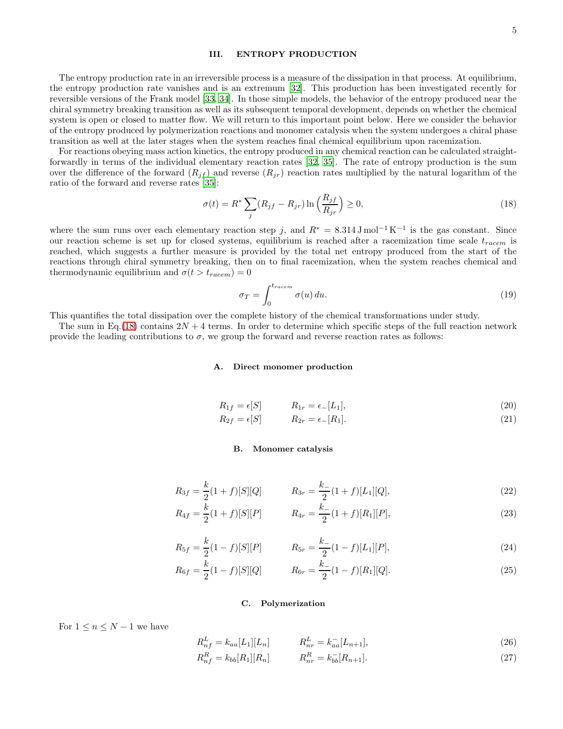### III. ENTROPY PRODUCTION

The entropy production rate in an irreversible process is a measure of the dissipation in that process. At equilibrium, the entropy production rate vanishes and is an extremum [\[32\]](#page-13-24). This production has been investigated recently for reversible versions of the Frank model [\[33](#page-13-25), [34\]](#page-13-26). In those simple models, the behavior of the entropy produced near the chiral symmetry breaking transition as well as its subsequent temporal development, depends on whether the chemical system is open or closed to matter flow. We will return to this important point below. Here we consider the behavior of the entropy produced by polymerization reactions and monomer catalysis when the system undergoes a chiral phase transition as well at the later stages when the system reaches final chemical equilibrium upon racemization.

For reactions obeying mass action kinetics, the entropy produced in any chemical reaction can be calculated straightforwardly in terms of the individual elementary reaction rates [\[32](#page-13-24), [35\]](#page-13-27). The rate of entropy production is the sum over the difference of the forward  $(R_{if})$  and reverse  $(R_{ir})$  reaction rates multiplied by the natural logarithm of the ratio of the forward and reverse rates [\[35\]](#page-13-27):

<span id="page-4-0"></span>
$$
\sigma(t) = R^* \sum_{j} (R_{jf} - R_{jr}) \ln\left(\frac{R_{jf}}{R_{jr}}\right) \ge 0,
$$
\n(18)

where the sum runs over each elementary reaction step j, and  $R^* = 8.314 \,\mathrm{J} \,\mathrm{mol}^{-1} \,\mathrm{K}^{-1}$  is the gas constant. Since our reaction scheme is set up for closed systems, equilibrium is reached after a racemization time scale  $t_{racem}$  is reached, which suggests a further measure is provided by the total net entropy produced from the start of the reactions through chiral symmetry breaking, then on to final racemization, when the system reaches chemical and thermodynamic equilibrium and  $\sigma(t > t_{racem}) = 0$ 

<span id="page-4-1"></span>
$$
\sigma_T = \int_0^{t_{racem}} \sigma(u) \, du. \tag{19}
$$

This quantifies the total dissipation over the complete history of the chemical transformations under study.

The sum in Eq.[\(18\)](#page-4-0) contains  $2N + 4$  terms. In order to determine which specific steps of the full reaction network provide the leading contributions to  $\sigma$ , we group the forward and reverse reaction rates as follows:

#### A. Direct monomer production

$$
R_{1f} = \epsilon[S] \qquad R_{1r} = \epsilon_- [L_1], \qquad (20)
$$

$$
R_{2f} = \epsilon[S] \qquad R_{2r} = \epsilon_-[R_1]. \tag{21}
$$

#### B. Monomer catalysis

$$
R_{3f} = \frac{k}{2}(1+f)[S][Q] \qquad R_{3r} = \frac{k}{2}(1+f)[L_1][Q], \qquad (22)
$$

$$
R_{4f} = \frac{k}{2}(1+f)[S][P] \qquad R_{4r} = \frac{k_{-}}{2}(1+f)[R_{1}][P], \qquad (23)
$$

$$
= \frac{k}{2}(1-f)[S][P] \qquad R_{5r} = \frac{k_{-}}{2}(1-f)[L_{1}][P], \qquad (24)
$$

$$
R_{6f} = \frac{k}{2}(1-f)[S][Q] \qquad R_{6r} = \frac{k}{2}(1-f)[R_1][Q]. \qquad (25)
$$

#### C. Polymerization

For  $1 \leq n \leq N-1$  we have

 $R_{5f}$ 

 $R_n^R$ 

$$
R_{nf}^L = k_{aa}[L_1][L_n] \qquad R_{nr}^L = k_{aa}^-[L_{n+1}], \qquad (26)
$$

$$
{}_{nf}^{R} = k_{bb}[R_1][R_n] \qquad R_{nr}^{R} = k_{bb}^{-}[R_{n+1}]. \qquad (27)
$$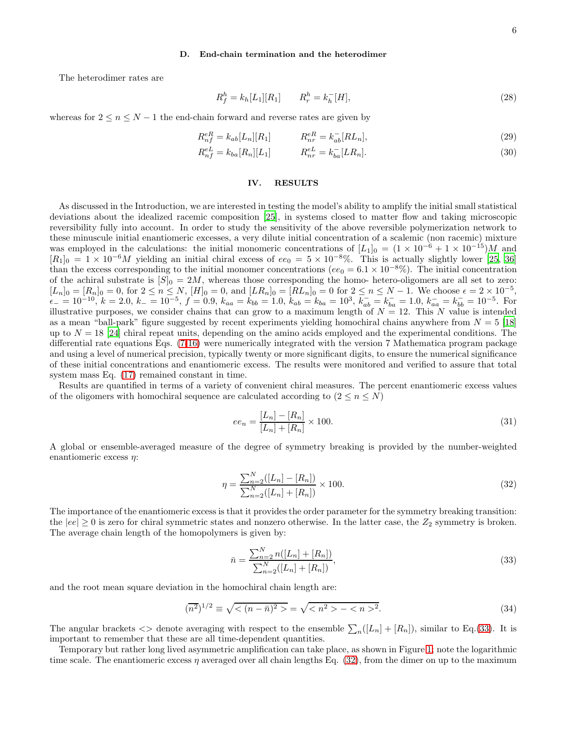#### D. End-chain termination and the heterodimer

The heterodimer rates are

$$
R_f^h = k_h[L_1][R_1] \qquad R_r^h = k_h^-[H], \tag{28}
$$

whereas for  $2 \le n \le N - 1$  the end-chain forward and reverse rates are given by

$$
R_{nf}^{eR} = k_{ab}[L_n][R_1] \qquad R_{nr}^{eR} = k_{ab}^-[RL_n],
$$
\n(29)

$$
R_{nf}^{eL} = k_{ba}[R_n][L_1] \qquad R_{nr}^{eL} = k_{ba}^{-}[LR_n]. \qquad (30)
$$

### IV. RESULTS

As discussed in the Introduction, we are interested in testing the model's ability to amplify the initial small statistical deviations about the idealized racemic composition [\[25](#page-13-17)], in systems closed to matter flow and taking microscopic reversibility fully into account. In order to study the sensitivity of the above reversible polymerization network to these minuscule initial enantiomeric excesses, a very dilute initial concentration of a scalemic (non racemic) mixture was employed in the calculations: the initial monomeric concentrations of  $[L_1]_0 = (1 \times 10^{-6} + 1 \times 10^{-15})M$  and  $[R_1]_0 = 1 \times 10^{-6} M$  yielding an initial chiral excess of  $ee_0 = 5 \times 10^{-8}$ %. This is actually slightly lower [\[25](#page-13-17), [36](#page-13-28)] than the excess corresponding to the initial monomer concentrations ( $ee_0 = 6.1 \times 10^{-8}$ %). The initial concentration of the achiral substrate is  $[S]_0 = 2M$ , whereas those corresponding the homo- hetero-oligomers are all set to zero:  $[L_n]_0 = [R_n]_0 = 0$ , for  $2 \le n \le N$ ,  $[H]_0 = 0$ , and  $[LR_n]_0 = [RL_n]_0 = 0$  for  $2 \le n \le N - 1$ . We choose  $\epsilon = 2 \times 10^{-5}$ ,  $\epsilon_{-} = 10^{-10}, k = 2.0, k_{-} = 10^{-5}, f = 0.9, k_{aa} = k_{bb} = 1.0, k_{ab} = k_{ba} = 10^{3}, k_{ab}^{-} = k_{ba}^{-} = 1.0, k_{aa}^{-} = k_{bb}^{-} = 10^{-5}$ . For illustrative purposes, we consider chains that can grow to a maximum length of  $N = 12$ . This N value is intended as a mean "ball-park" figure suggested by recent experiments yielding homochiral chains anywhere from  $N = 5$  [\[18](#page-13-29)] up to  $N = 18$  [\[24\]](#page-13-16) chiral repeat units, depending on the amino acids employed and the experimental conditions. The differential rate equations Eqs. [\(7](#page-3-0)[-16\)](#page-3-1) were numerically integrated with the version 7 Mathematica program package and using a level of numerical precision, typically twenty or more significant digits, to ensure the numerical significance of these initial concentrations and enantiomeric excess. The results were monitored and verified to assure that total system mass Eq. [\(17\)](#page-3-2) remained constant in time.

Results are quantified in terms of a variety of convenient chiral measures. The percent enantiomeric excess values of the oligomers with homochiral sequence are calculated according to  $(2 \leq n \leq N)$ 

<span id="page-5-2"></span>
$$
ee_n = \frac{[L_n] - [R_n]}{[L_n] + [R_n]} \times 100.
$$
\n(31)

A global or ensemble-averaged measure of the degree of symmetry breaking is provided by the number-weighted enantiomeric excess  $\eta$ :

<span id="page-5-1"></span>
$$
\eta = \frac{\sum_{n=2}^{N} ([L_n] - [R_n])}{\sum_{n=2}^{N} ([L_n] + [R_n])} \times 100.
$$
\n(32)

The importance of the enantiomeric excess is that it provides the order parameter for the symmetry breaking transition: the  $|ee| \geq 0$  is zero for chiral symmetric states and nonzero otherwise. In the latter case, the  $Z_2$  symmetry is broken. The average chain length of the homopolymers is given by:

<span id="page-5-0"></span>
$$
\bar{n} = \frac{\sum_{n=2}^{N} n([L_n] + [R_n])}{\sum_{n=2}^{N} ([L_n] + [R_n])},\tag{33}
$$

and the root mean square deviation in the homochiral chain length are:

<span id="page-5-3"></span>
$$
(\overline{n^2})^{1/2} \equiv \sqrt{<(n-\bar{n})^2>} = \sqrt{(-^2>}.
$$
\n(34)

The angular brackets  $\langle \rangle$  denote averaging with respect to the ensemble  $\sum_n ([L_n] + [R_n])$ , similar to Eq.[\(33\)](#page-5-0). It is important to remember that these are all time-dependent quantities.

Temporary but rather long lived asymmetric amplification can take place, as shown in Figure [1;](#page-6-0) note the logarithmic time scale. The enantiomeric excess  $\eta$  averaged over all chain lengths Eq. [\(32\)](#page-5-1), from the dimer on up to the maximum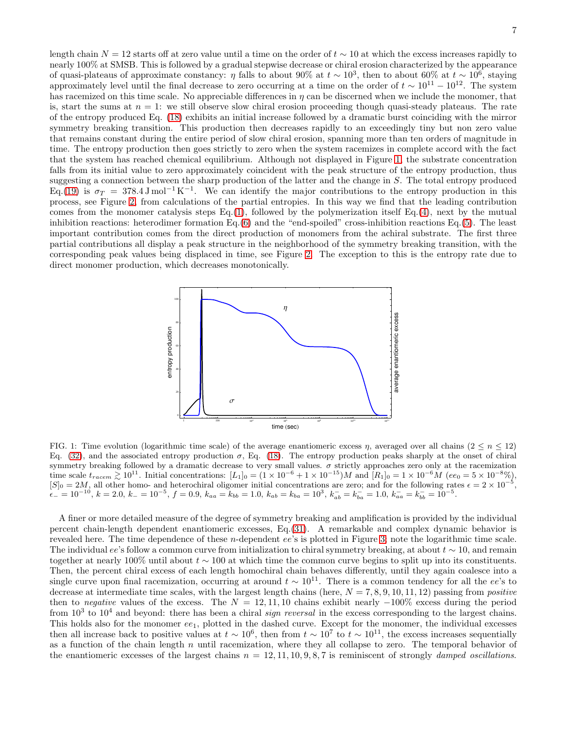length chain  $N = 12$  starts off at zero value until a time on the order of  $t \sim 10$  at which the excess increases rapidly to nearly 100% at SMSB. This is followed by a gradual stepwise decrease or chiral erosion characterized by the appearance of quasi-plateaus of approximate constancy:  $\eta$  falls to about 90% at  $t \sim 10^3$ , then to about 60% at  $t \sim 10^6$ , staying approximately level until the final decrease to zero occurring at a time on the order of  $t \sim 10^{11} - 10^{12}$ . The system has racemized on this time scale. No appreciable differences in  $\eta$  can be discerned when we include the monomer, that is, start the sums at  $n = 1$ : we still observe slow chiral erosion proceeding though quasi-steady plateaus. The rate of the entropy produced Eq. [\(18\)](#page-4-0) exhibits an initial increase followed by a dramatic burst coinciding with the mirror symmetry breaking transition. This production then decreases rapidly to an exceedingly tiny but non zero value that remains constant during the entire period of slow chiral erosion, spanning more than ten orders of magnitude in time. The entropy production then goes strictly to zero when the system racemizes in complete accord with the fact that the system has reached chemical equilibrium. Although not displayed in Figure [1,](#page-6-0) the substrate concentration falls from its initial value to zero approximately coincident with the peak structure of the entropy production, thus suggesting a connection between the sharp production of the latter and the change in S. The total entropy produced Eq.[\(19\)](#page-4-1) is  $\sigma_T = 378.4 \,\mathrm{J} \,\mathrm{mol}^{-1} \,\mathrm{K}^{-1}$ . We can identify the major contributions to the entropy production in this process, see Figure [2,](#page-7-0) from calculations of the partial entropies. In this way we find that the leading contribution comes from the monomer catalysis steps Eq.[\(1\)](#page-2-0), followed by the polymerization itself Eq.[\(4\)](#page-2-1), next by the mutual inhibition reactions: heterodimer formation Eq.[\(6\)](#page-2-3) and the "end-spoiled" cross-inhibition reactions Eq.[\(5\)](#page-2-2). The least important contribution comes from the direct production of monomers from the achiral substrate. The first three partial contributions all display a peak structure in the neighborhood of the symmetry breaking transition, with the corresponding peak values being displaced in time, see Figure [2.](#page-7-0) The exception to this is the entropy rate due to direct monomer production, which decreases monotonically.



<span id="page-6-0"></span>FIG. 1: Time evolution (logarithmic time scale) of the average enantiomeric excess  $\eta$ , averaged over all chains ( $2 \leq n \leq 12$ ) Eq.  $(32)$ , and the associated entropy production  $\sigma$ , Eq.  $(18)$ . The entropy production peaks sharply at the onset of chiral symmetry breaking followed by a dramatic decrease to very small values.  $\sigma$  strictly approaches zero only at the racemization time scale  $t_{racem} \gtrsim 10^{11}$ . Initial concentrations:  $[L_1]_0 = (1 \times 10^{-6} + 1 \times 10^{-15})M$  and  $[R_1]_0 = 1 \times 10^{-6}M$  (ee<sub>0</sub> = 5 × 10<sup>-8</sup>%),  $[S]_0 = 2M$ , all other homo- and heterochiral oligomer initial concentrations are zero; and for the following rates  $\epsilon = 2 \times 10^{-5}$ ,  $\varepsilon_{-} = 10^{-10}, k = 2.0, k_{-} = 10^{-5}, f = 0.9, k_{aa} = k_{bb} = 1.0, k_{ab} = k_{ba} = 10^{3}, k_{ab}^{-} = k_{ba}^{-} = 1.0, k_{aa}^{-} = k_{bb}^{-} = 10^{-5}.$ 

A finer or more detailed measure of the degree of symmetry breaking and amplification is provided by the individual percent chain-length dependent enantiomeric excesses, Eq.[\(31\)](#page-5-2). A remarkable and complex dynamic behavior is revealed here. The time dependence of these n-dependent ee's is plotted in Figure [3;](#page-7-1) note the logarithmic time scale. The individual ee's follow a common curve from initialization to chiral symmetry breaking, at about  $t \sim 10$ , and remain together at nearly 100% until about  $t \sim 100$  at which time the common curve begins to split up into its constituents. Then, the percent chiral excess of each length homochiral chain behaves differently, until they again coalesce into a single curve upon final racemization, occurring at around  $t \sim 10^{11}$ . There is a common tendency for all the ee's to decrease at intermediate time scales, with the largest length chains (here,  $N = 7, 8, 9, 10, 11, 12$ ) passing from *positive* then to negative values of the excess. The  $N = 12, 11, 10$  chains exhibit nearly  $-100\%$  excess during the period from  $10^3$  to  $10^4$  and beyond: there has been a chiral *sign reversal* in the excess corresponding to the largest chains. This holds also for the monomer  $ee_1$ , plotted in the dashed curve. Except for the monomer, the individual excesses then all increase back to positive values at  $t \sim 10^6$ , then from  $t \sim 10^7$  to  $t \sim 10^{11}$ , the excess increases sequentially as a function of the chain length n until racemization, where they all collapse to zero. The temporal behavior of the enantiomeric excesses of the largest chains  $n = 12, 11, 10, 9, 8, 7$  is reminiscent of strongly damped oscillations.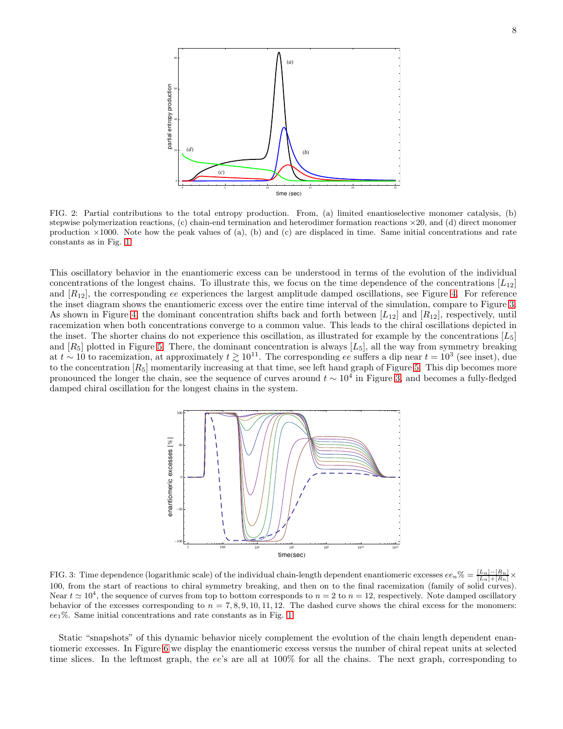

<span id="page-7-0"></span>FIG. 2: Partial contributions to the total entropy production. From, (a) limited enantioselective monomer catalysis, (b) stepwise polymerization reactions,  $(c)$  chain-end termination and heterodimer formation reactions  $\times 20$ , and  $(d)$  direct monomer production  $\times 1000$ . Note how the peak values of (a), (b) and (c) are displaced in time. Same initial concentrations and rate constants as in Fig. [1.](#page-6-0)

This oscillatory behavior in the enantiomeric excess can be understood in terms of the evolution of the individual concentrations of the longest chains. To illustrate this, we focus on the time dependence of the concentrations  $[L_{12}]$ and  $[R_{12}]$ , the corresponding ee experiences the largest amplitude damped oscillations, see Figure [4.](#page-8-0) For reference the inset diagram shows the enantiomeric excess over the entire time interval of the simulation, compare to Figure [3.](#page-7-1) As shown in Figure [4,](#page-8-0) the dominant concentration shifts back and forth between  $[L_{12}]$  and  $[R_{12}]$ , respectively, until racemization when both concentrations converge to a common value. This leads to the chiral oscillations depicted in the inset. The shorter chains do not experience this oscillation, as illustrated for example by the concentrations  $[L_5]$ and  $[R_5]$  plotted in Figure [5.](#page-8-1) There, the dominant concentration is always  $[L_5]$ , all the way from symmetry breaking at  $t \sim 10$  to racemization, at approximately  $t \gtrsim 10^{11}$ . The corresponding ee suffers a dip near  $t = 10^3$  (see inset), due to the concentration  $[R_5]$  momentarily increasing at that time, see left hand graph of Figure [5.](#page-8-1) This dip becomes more pronounced the longer the chain, see the sequence of curves around  $t \sim 10^4$  in Figure [3,](#page-7-1) and becomes a fully-fledged damped chiral oscillation for the longest chains in the system.



<span id="page-7-1"></span>FIG. 3: Time dependence (logarithmic scale) of the individual chain-length dependent enantiomeric excesses  $ee_n\% = \frac{[L_n]-[R_n]}{[L_n]+[R_n]} \times$ 100, from the start of reactions to chiral symmetry breaking, and then on to the final racemization (family of solid curves). Near  $t \approx 10^4$ , the sequence of curves from top to bottom corresponds to  $n = 2$  to  $n = 12$ , respectively. Note damped oscillatory behavior of the excesses corresponding to  $n = 7, 8, 9, 10, 11, 12$ . The dashed curve shows the chiral excess for the monomers: ee1%. Same initial concentrations and rate constants as in Fig. [1.](#page-6-0)

Static "snapshots" of this dynamic behavior nicely complement the evolution of the chain length dependent enantiomeric excesses. In Figure [6](#page-9-0) we display the enantiomeric excess versus the number of chiral repeat units at selected time slices. In the leftmost graph, the ee's are all at  $100\%$  for all the chains. The next graph, corresponding to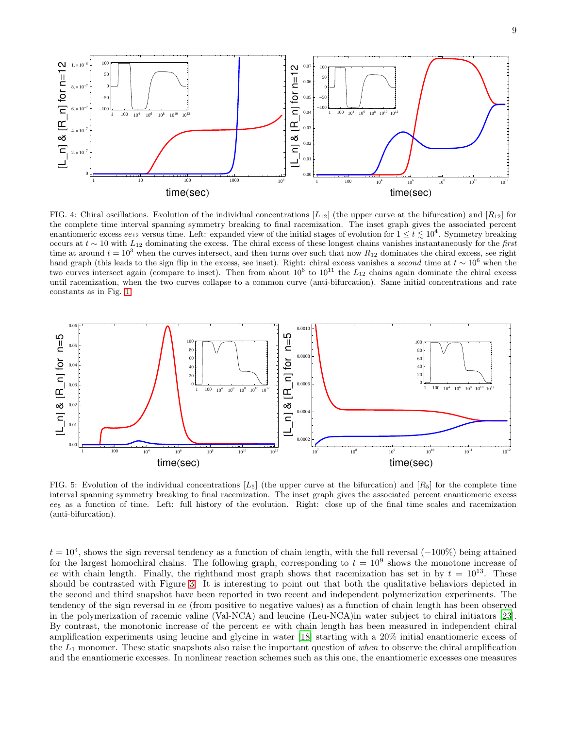

<span id="page-8-0"></span>FIG. 4: Chiral oscillations. Evolution of the individual concentrations  $[L_{12}]$  (the upper curve at the bifurcation) and  $[R_{12}]$  for the complete time interval spanning symmetry breaking to final racemization. The inset graph gives the associated percent enantiomeric excess  $ee_{12}$  versus time. Left: expanded view of the initial stages of evolution for  $1 \le t \lesssim 10^4$ . Symmetry breaking occurs at t ∼ 10 with L<sup>12</sup> dominating the excess. The chiral excess of these longest chains vanishes instantaneously for the *first* time at around  $t = 10^3$  when the curves intersect, and then turns over such that now  $R_{12}$  dominates the chiral excess, see right hand graph (this leads to the sign flip in the excess, see inset). Right: chiral excess vanishes a *second* time at t ∼ 10<sup>6</sup> when the two curves intersect again (compare to inset). Then from about  $10^6$  to  $10^{11}$  the  $L_{12}$  chains again dominate the chiral excess until racemization, when the two curves collapse to a common curve (anti-bifurcation). Same initial concentrations and rate constants as in Fig. [1.](#page-6-0)



<span id="page-8-1"></span>FIG. 5: Evolution of the individual concentrations  $[L_5]$  (the upper curve at the bifurcation) and  $[R_5]$  for the complete time interval spanning symmetry breaking to final racemization. The inset graph gives the associated percent enantiomeric excess  $ee<sub>5</sub>$  as a function of time. Left: full history of the evolution. Right: close up of the final time scales and racemization (anti-bifurcation).

 $t = 10<sup>4</sup>$ , shows the sign reversal tendency as a function of chain length, with the full reversal  $(-100\%)$  being attained for the largest homochiral chains. The following graph, corresponding to  $t = 10<sup>9</sup>$  shows the monotone increase of ee with chain length. Finally, the righthand most graph shows that racemization has set in by  $t = 10^{13}$ . These should be contrasted with Figure [3.](#page-7-1) It is interesting to point out that both the qualitative behaviors depicted in the second and third snapshot have been reported in two recent and independent polymerization experiments. The tendency of the sign reversal in ee (from positive to negative values) as a function of chain length has been observed in the polymerization of racemic valine (Val-NCA) and leucine (Leu-NCA)in water subject to chiral initiators [\[23\]](#page-13-30). By contrast, the monotonic increase of the percent ee with chain length has been measured in independent chiral amplification experiments using leucine and glycine in water [\[18](#page-13-29)] starting with a 20% initial enantiomeric excess of the  $L_1$  monomer. These static snapshots also raise the important question of when to observe the chiral amplification and the enantiomeric excesses. In nonlinear reaction schemes such as this one, the enantiomeric excesses one measures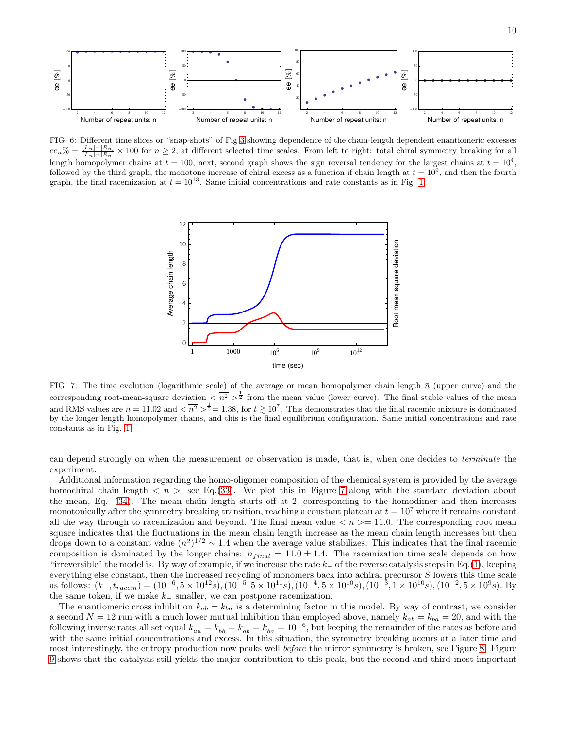

<span id="page-9-0"></span>FIG. 6: Different time slices or "snap-shots" of Fig [3](#page-7-1) showing dependence of the chain-length dependent enantiomeric excesses  $ee_n\% = \frac{[L_n]-[R_n]}{[L_n]+[R_n]} \times 100$  for  $n \geq 2$ , at different selected time scales. From left to right: total chiral symmetry breaking for all length homopolymer chains at  $t = 100$ , next, second graph shows the sign reversal tendency for the largest chains at  $t = 10^4$ , followed by the third graph, the monotone increase of chiral excess as a function if chain length at  $t = 10^9$ , and then the fourth graph, the final racemization at  $t = 10^{13}$ . Same initial concentrations and rate constants as in Fig. [1.](#page-6-0)



<span id="page-9-1"></span>FIG. 7: The time evolution (logarithmic scale) of the average or mean homopolymer chain length  $\bar{n}$  (upper curve) and the corresponding root-mean-square deviation  $\langle n^2 \rangle^{\frac{1}{2}}$  from the mean value (lower curve). The final stable values of the mean and RMS values are  $\bar{n} = 11.02$  and  $\langle \overline{n^2} \rangle^{\frac{1}{2}} = 1.38$ , for  $t \gtrsim 10^7$ . This demonstrates that the final racemic mixture is dominated by the longer length homopolymer chains, and this is the final equilibrium configuration. Same initial concentrations and rate constants as in Fig. [1.](#page-6-0)

can depend strongly on when the measurement or observation is made, that is, when one decides to terminate the experiment.

Additional information regarding the homo-oligomer composition of the chemical system is provided by the average homochiral chain length  $\langle n \rangle$ , see Eq.[\(33\)](#page-5-0). We plot this in Figure [7](#page-9-1) along with the standard deviation about the mean, Eq. [\(34\)](#page-5-3). The mean chain length starts off at 2, corresponding to the homodimer and then increases monotonically after the symmetry breaking transition, reaching a constant plateau at  $t = 10^7$  where it remains constant all the way through to racemization and beyond. The final mean value  $\langle n \rangle = 11.0$ . The corresponding root mean square indicates that the fluctuations in the mean chain length increase as the mean chain length increases but then drops down to a constant value  $(\overline{n^2})^{1/2} \sim 1.4$  when the average value stabilizes. This indicates that the final racemic composition is dominated by the longer chains:  $n_{final} = 11.0 \pm 1.4$ . The racemization time scale depends on how "irreversible" the model is. By way of example, if we increase the rate  $k_$  of the reverse catalysis steps in Eq.[\(1\)](#page-2-0), keeping everything else constant, then the increased recycling of monomers back into achiral precursor S lowers this time scale as follows:  $(k_-, t_{racem}) = (10^{-6}, 5 \times 10^{12} s), (10^{-5}, 5 \times 10^{11} s), (10^{-4}, 5 \times 10^{10} s), (10^{-3}, 1 \times 10^{10} s), (10^{-2}, 5 \times 10^{9} s)$ . By the same token, if we make  $k_$  smaller, we can postpone racemization.

The enantiomeric cross inhibition  $k_{ab} = k_{ba}$  is a determining factor in this model. By way of contrast, we consider a second  $N = 12$  run with a much lower mutual inhibition than employed above, namely  $k_{ab} = k_{ba} = 20$ , and with the following inverse rates all set equal  $k_{aa}^- = k_{bb}^- = k_{ab}^- = k_{ba}^- = 10^{-6}$ , but keeping the remainder of the rates as before and with the same initial concentrations and excess. In this situation, the symmetry breaking occurs at a later time and most interestingly, the entropy production now peaks well *before* the mirror symmetry is broken, see Figure [8.](#page-10-0) Figure [9](#page-10-1) shows that the catalysis still yields the major contribution to this peak, but the second and third most important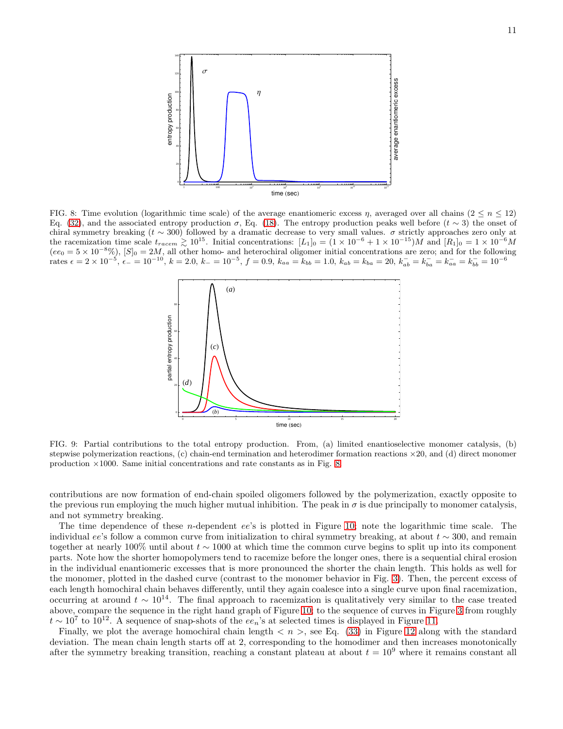

<span id="page-10-0"></span>FIG. 8: Time evolution (logarithmic time scale) of the average enantiomeric excess  $\eta$ , averaged over all chains ( $2 \leq n \leq 12$ ) Eq. [\(32\)](#page-5-1), and the associated entropy production  $\sigma$ , Eq. [\(18\)](#page-4-0). The entropy production peaks well before  $(t \sim 3)$  the onset of chiral symmetry breaking ( $t \sim 300$ ) followed by a dramatic decrease to very small values.  $\sigma$  strictly approaches zero only at the racemization time scale  $t_{racem} \gtrsim 10^{15}$ . Initial concentrations:  $[L_1]_0 = (1 \times 10^{-6} + 1 \times 10^{-15})M$  and  $[R_1]_0 = 1 \times 10^{-6}M$  $(ee_0 = 5 \times 10^{-8}\%)$ ,  $[S]_0 = 2M$ , all other homo- and heterochiral oligomer initial concentrations are zero; and for the following  $\tau_{\rm{rate}} = 2 \times 10^{-5}, \, \epsilon_{-} = 10^{-10}, \, k = 2.0, \, k_{-} = 10^{-5}, \, f = 0.9, \, k_{aa} = k_{bb} = 1.0, \, k_{ab} = k_{ba} = 20, \, k_{ab}^- = k_{ba}^- = k_{ba}^- = k_{bb}^- = 10^{-6}$ 



<span id="page-10-1"></span>FIG. 9: Partial contributions to the total entropy production. From, (a) limited enantioselective monomer catalysis, (b) stepwise polymerization reactions,  $(c)$  chain-end termination and heterodimer formation reactions  $\times 20$ , and  $(d)$  direct monomer production ×1000. Same initial concentrations and rate constants as in Fig. [8.](#page-10-0)

contributions are now formation of end-chain spoiled oligomers followed by the polymerization, exactly opposite to the previous run employing the much higher mutual inhibition. The peak in  $\sigma$  is due principally to monomer catalysis. and not symmetry breaking.

The time dependence of these n-dependent ee's is plotted in Figure [10;](#page-11-0) note the logarithmic time scale. The individual ee's follow a common curve from initialization to chiral symmetry breaking, at about  $t \sim 300$ , and remain together at nearly 100% until about  $t \sim 1000$  at which time the common curve begins to split up into its component parts. Note how the shorter homopolymers tend to racemize before the longer ones, there is a sequential chiral erosion in the individual enantiomeric excesses that is more pronounced the shorter the chain length. This holds as well for the monomer, plotted in the dashed curve (contrast to the monomer behavior in Fig. [3\)](#page-7-1). Then, the percent excess of each length homochiral chain behaves differently, until they again coalesce into a single curve upon final racemization, occurring at around  $t \sim 10^{14}$ . The final approach to racemization is qualitatively very similar to the case treated above, compare the sequence in the right hand graph of Figure [10;](#page-11-0) to the sequence of curves in Figure [3](#page-7-1) from roughly  $t \sim 10^7$  to 10<sup>12</sup>. A sequence of snap-shots of the  $ee_n$ 's at selected times is displayed in Figure [11.](#page-11-1)

Finally, we plot the average homochiral chain length  $\langle n \rangle$ , see Eq. [\(33\)](#page-5-0) in Figure [12](#page-12-0) along with the standard deviation. The mean chain length starts off at 2, corresponding to the homodimer and then increases monotonically after the symmetry breaking transition, reaching a constant plateau at about  $t = 10^9$  where it remains constant all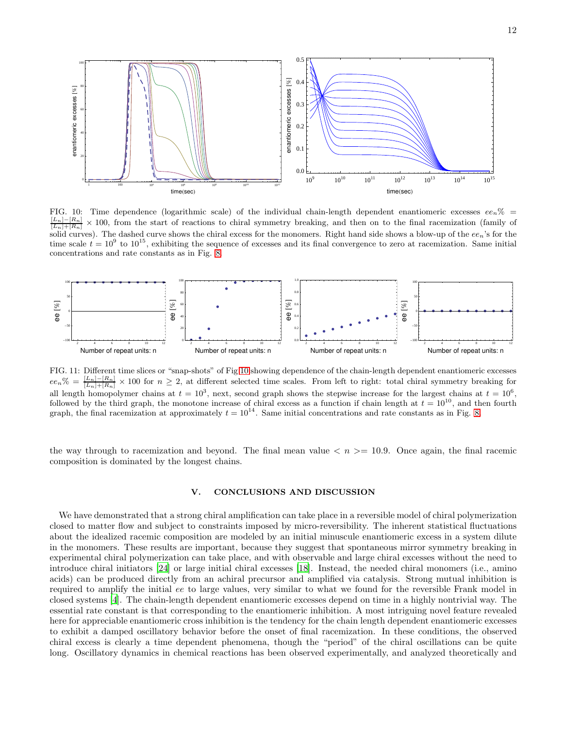

<span id="page-11-0"></span>FIG. 10: Time dependence (logarithmic scale) of the individual chain-length dependent enantiomeric excesses  $ee_n\%$  =  $\frac{[L_n]-[R_n]}{[L_n]+[R_n]}$  $\times$  100, from the start of reactions to chiral symmetry breaking, and then on to the final racemization (family of solid curves). The dashed curve shows the chiral excess for the monomers. Right hand side shows a blow-up of the  $ee_n$ 's for the time scale  $t = 10^9$  to  $10^{15}$ , exhibiting the sequence of excesses and its final convergence to zero at racemization. Same initial concentrations and rate constants as in Fig. [8.](#page-10-0)

![](_page_11_Figure_2.jpeg)

<span id="page-11-1"></span>FIG. 11: Different time slices or "snap-shots" of Fig [10](#page-11-0) showing dependence of the chain-length dependent enantiomeric excesses  $ee_n\% = \frac{[L_n]-[R_n]}{[L_n]+[R_n]} \times 100$  for  $n \geq 2$ , at different selected time scales. From left to right: total chiral symmetry breaking for all length homopolymer chains at  $t = 10^3$ , next, second graph shows the stepwise increase for the largest chains at  $t = 10^6$ , followed by the third graph, the monotone increase of chiral excess as a function if chain length at  $t = 10^{10}$ , and then fourth graph, the final racemization at approximately  $t = 10^{14}$ . Same initial concentrations and rate constants as in Fig. [8.](#page-10-0)

the way through to racemization and beyond. The final mean value  $\langle n \rangle = 10.9$ . Once again, the final racemic composition is dominated by the longest chains.

## V. CONCLUSIONS AND DISCUSSION

We have demonstrated that a strong chiral amplification can take place in a reversible model of chiral polymerization closed to matter flow and subject to constraints imposed by micro-reversibility. The inherent statistical fluctuations about the idealized racemic composition are modeled by an initial minuscule enantiomeric excess in a system dilute in the monomers. These results are important, because they suggest that spontaneous mirror symmetry breaking in experimental chiral polymerization can take place, and with observable and large chiral excesses without the need to introduce chiral initiators [\[24\]](#page-13-16) or large initial chiral excesses [\[18](#page-13-29)]. Instead, the needed chiral monomers (i.e., amino acids) can be produced directly from an achiral precursor and amplified via catalysis. Strong mutual inhibition is required to amplify the initial ee to large values, very similar to what we found for the reversible Frank model in closed systems [\[4](#page-13-2)]. The chain-length dependent enantiomeric excesses depend on time in a highly nontrivial way. The essential rate constant is that corresponding to the enantiomeric inhibition. A most intriguing novel feature revealed here for appreciable enantiomeric cross inhibition is the tendency for the chain length dependent enantiomeric excesses to exhibit a damped oscillatory behavior before the onset of final racemization. In these conditions, the observed chiral excess is clearly a time dependent phenomena, though the "period" of the chiral oscillations can be quite long. Oscillatory dynamics in chemical reactions has been observed experimentally, and analyzed theoretically and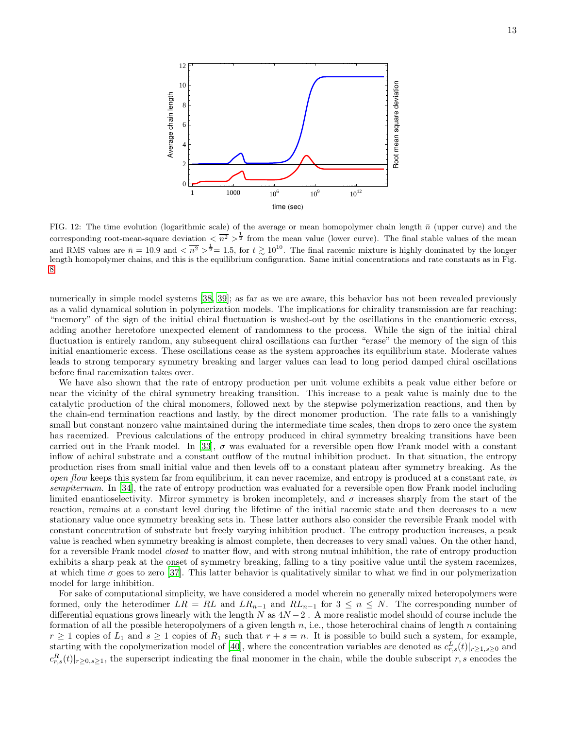![](_page_12_Figure_0.jpeg)

<span id="page-12-0"></span>FIG. 12: The time evolution (logarithmic scale) of the average or mean homopolymer chain length  $\bar{n}$  (upper curve) and the corresponding root-mean-square deviation  $\langle \overline{n^2} \rangle^{\frac{1}{2}}$  from the mean value (lower curve). The final stable values of the mean and RMS values are  $\bar{n} = 10.9$  and  $\langle \bar{n^2} \rangle^{\frac{1}{2}} = 1.5$ , for  $t \gtrsim 10^{10}$ . The final racemic mixture is highly dominated by the longer length homopolymer chains, and this is the equilibrium configuration. Same initial concentrations and rate constants as in Fig. [8.](#page-10-0)

numerically in simple model systems [\[38,](#page-13-31) [39\]](#page-13-32); as far as we are aware, this behavior has not been revealed previously as a valid dynamical solution in polymerization models. The implications for chirality transmission are far reaching: "memory" of the sign of the initial chiral fluctuation is washed-out by the oscillations in the enantiomeric excess, adding another heretofore unexpected element of randomness to the process. While the sign of the initial chiral fluctuation is entirely random, any subsequent chiral oscillations can further "erase" the memory of the sign of this initial enantiomeric excess. These oscillations cease as the system approaches its equilibrium state. Moderate values leads to strong temporary symmetry breaking and larger values can lead to long period damped chiral oscillations before final racemization takes over.

We have also shown that the rate of entropy production per unit volume exhibits a peak value either before or near the vicinity of the chiral symmetry breaking transition. This increase to a peak value is mainly due to the catalytic production of the chiral monomers, followed next by the stepwise polymerization reactions, and then by the chain-end termination reactions and lastly, by the direct monomer production. The rate falls to a vanishingly small but constant nonzero value maintained during the intermediate time scales, then drops to zero once the system has racemized. Previous calculations of the entropy produced in chiral symmetry breaking transitions have been carried out in the Frank model. In [\[33](#page-13-25)],  $\sigma$  was evaluated for a reversible open flow Frank model with a constant inflow of achiral substrate and a constant outflow of the mutual inhibition product. In that situation, the entropy production rises from small initial value and then levels off to a constant plateau after symmetry breaking. As the open flow keeps this system far from equilibrium, it can never racemize, and entropy is produced at a constant rate, in sempiternum. In [\[34\]](#page-13-26), the rate of entropy production was evaluated for a reversible open flow Frank model including limited enantioselectivity. Mirror symmetry is broken incompletely, and  $\sigma$  increases sharply from the start of the reaction, remains at a constant level during the lifetime of the initial racemic state and then decreases to a new stationary value once symmetry breaking sets in. These latter authors also consider the reversible Frank model with constant concentration of substrate but freely varying inhibition product. The entropy production increases, a peak value is reached when symmetry breaking is almost complete, then decreases to very small values. On the other hand, for a reversible Frank model closed to matter flow, and with strong mutual inhibition, the rate of entropy production exhibits a sharp peak at the onset of symmetry breaking, falling to a tiny positive value until the system racemizes, at which time  $\sigma$  goes to zero [\[37\]](#page-13-33). This latter behavior is qualitatively similar to what we find in our polymerization model for large inhibition.

For sake of computational simplicity, we have considered a model wherein no generally mixed heteropolymers were formed, only the heterodimer  $LR = RL$  and  $LR_{n-1}$  and  $RL_{n-1}$  for  $3 \leq n \leq N$ . The corresponding number of differential equations grows linearly with the length  $N$  as  $4N-2$ . A more realistic model should of course include the formation of all the possible heteropolymers of a given length  $n$ , i.e., those heterochiral chains of length  $n$  containing  $r \geq 1$  copies of  $L_1$  and  $s \geq 1$  copies of  $R_1$  such that  $r + s = n$ . It is possible to build such a system, for example, starting with the copolymerization model of [\[40\]](#page-13-34), where the concentration variables are denoted as  $c_{r,s}^L(t)|_{r\geq 1,s\geq 0}$  and  $c_{r,s}^{R}(t)|_{r\geq0,s\geq1}$ , the superscript indicating the final monomer in the chain, while the double subscript r, s encodes the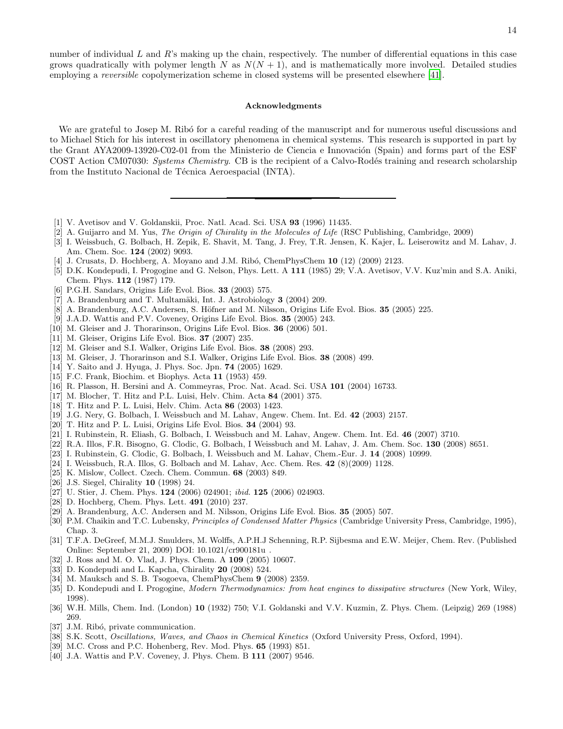number of individual  $L$  and  $R$ 's making up the chain, respectively. The number of differential equations in this case grows quadratically with polymer length N as  $N(N + 1)$ , and is mathematically more involved. Detailed studies employing a reversible copolymerization scheme in closed systems will be presented elsewhere [\[41](#page-14-0)].

#### Acknowledgments

We are grateful to Josep M. Ribo for a careful reading of the manuscript and for numerous useful discussions and to Michael Stich for his interest in oscillatory phenomena in chemical systems. This research is supported in part by the Grant AYA2009-13920-C02-01 from the Ministerio de Ciencia e Innovación (Spain) and forms part of the ESF COST Action CM07030: Systems Chemistry. CB is the recipient of a Calvo-Rodés training and research scholarship from the Instituto Nacional de Técnica Aeroespacial (INTA).

- <span id="page-13-0"></span>[1] V. Avetisov and V. Goldanskii, Proc. Natl. Acad. Sci. USA 93 (1996) 11435.
- [2] A. Guijarro and M. Yus, *The Origin of Chirality in the Molecules of Life* (RSC Publishing, Cambridge, 2009)
- <span id="page-13-1"></span>[3] I. Weissbuch, G. Bolbach, H. Zepik, E. Shavit, M. Tang, J. Frey, T.R. Jensen, K. Kajer, L. Leiserowitz and M. Lahav, J. Am. Chem. Soc. 124 (2002) 9093.
- <span id="page-13-2"></span>[4] J. Crusats, D. Hochberg, A. Moyano and J.M. Ribó, ChemPhysChem 10 (12) (2009) 2123.
- <span id="page-13-3"></span>[5] D.K. Kondepudi, I. Progogine and G. Nelson, Phys. Lett. A 111 (1985) 29; V.A. Avetisov, V.V. Kuz'min and S.A. Aniki, Chem. Phys. 112 (1987) 179.
- <span id="page-13-4"></span>[6] P.G.H. Sandars, Origins Life Evol. Bios. 33 (2003) 575.
- <span id="page-13-8"></span>[7] A. Brandenburg and T. Multamäki, Int. J. Astrobiology 3 (2004) 209.
- <span id="page-13-7"></span>[8] A. Brandenburg, A.C. Andersen, S. Höfner and M. Nilsson, Origins Life Evol. Bios. 35 (2005) 225.
- <span id="page-13-9"></span>[9] J.A.D. Wattis and P.V. Coveney, Origins Life Evol. Bios. 35 (2005) 243.
- <span id="page-13-10"></span>[10] M. Gleiser and J. Thorarinson, Origins Life Evol. Bios. 36 (2006) 501.
- <span id="page-13-11"></span>[11] M. Gleiser, Origins Life Evol. Bios. 37 (2007) 235.
- <span id="page-13-12"></span>[12] M. Gleiser and S.I. Walker, Origins Life Evol. Bios. 38 (2008) 293.
- <span id="page-13-13"></span>[13] M. Gleiser, J. Thorarinson and S.I. Walker, Origins Life Evol. Bios. 38 (2008) 499.
- <span id="page-13-5"></span>[14] Y. Saito and J. Hyuga, J. Phys. Soc. Jpn. **74** (2005) 1629.
- <span id="page-13-6"></span>[15] F.C. Frank, Biochim. et Biophys. Acta 11 (1953) 459.
- <span id="page-13-14"></span>[16] R. Plasson, H. Bersini and A. Commeyras, Proc. Nat. Acad. Sci. USA 101 (2004) 16733.
- <span id="page-13-15"></span>[17] M. Blocher, T. Hitz and P.L. Luisi, Helv. Chim. Acta 84 (2001) 375.
- <span id="page-13-29"></span>[18] T. Hitz and P. L. Luisi, Helv. Chim. Acta 86 (2003) 1423.
- [19] J.G. Nery, G. Bolbach, I. Weissbuch and M. Lahav, Angew. Chem. Int. Ed. 42 (2003) 2157.
- [20] T. Hitz and P. L. Luisi, Origins Life Evol. Bios. 34 (2004) 93.
- [21] I. Rubinstein, R. Eliash, G. Bolbach, I. Weissbuch and M. Lahav, Angew. Chem. Int. Ed. 46 (2007) 3710.
- [22] R.A. Illos, F.R. Bisogno, G. Clodic, G. Bolbach, I Weissbuch and M. Lahav, J. Am. Chem. Soc. 130 (2008) 8651.
- <span id="page-13-30"></span>[23] I. Rubinstein, G. Clodic, G. Bolbach, I. Weissbuch and M. Lahav, Chem.-Eur. J. 14 (2008) 10999.
- <span id="page-13-16"></span>[24] I. Weissbuch, R.A. Illos, G. Bolbach and M. Lahav, Acc. Chem. Res. 42 (8)(2009) 1128.
- <span id="page-13-17"></span>[25] K. Mislow, Collect. Czech. Chem. Commun. 68 (2003) 849.
- <span id="page-13-18"></span>[26] J.S. Siegel, Chirality 10 (1998) 24.
- <span id="page-13-19"></span>[27] U. Stier, J. Chem. Phys. 124 (2006) 024901; *ibid.* 125 (2006) 024903.
- <span id="page-13-20"></span>[28] D. Hochberg, Chem. Phys. Lett. 491 (2010) 237.
- <span id="page-13-21"></span>[29] A. Brandenburg, A.C. Andersen and M. Nilsson, Origins Life Evol. Bios. 35 (2005) 507.
- <span id="page-13-23"></span>[30] P.M. Chaikin and T.C. Lubensky, *Principles of Condensed Matter Physics* (Cambridge University Press, Cambridge, 1995), Chap. 3.
- <span id="page-13-22"></span>[31] T.F.A. DeGreef, M.M.J. Smulders, M. Wolffs, A.P.H.J Schenning, R.P. Sijbesma and E.W. Meijer, Chem. Rev. (Published Online: September 21, 2009) DOI: 10.1021/cr900181u .
- <span id="page-13-24"></span>[32] J. Ross and M. O. Vlad, J. Phys. Chem. A 109 (2005) 10607.
- <span id="page-13-25"></span>[33] D. Kondepudi and L. Kapcha, Chirality 20 (2008) 524.
- <span id="page-13-26"></span>[34] M. Mauksch and S. B. Tsogoeva, ChemPhysChem 9 (2008) 2359.
- <span id="page-13-27"></span>[35] D. Kondepudi and I. Progogine, *Modern Thermodynamics: from heat engines to dissipative structures* (New York, Wiley, 1998).
- <span id="page-13-28"></span>[36] W.H. Mills, Chem. Ind. (London) 10 (1932) 750; V.I. Goldanski and V.V. Kuzmin, Z. Phys. Chem. (Leipzig) 269 (1988) 269.
- <span id="page-13-33"></span>[37] J.M. Ribó, private communication.
- <span id="page-13-31"></span>[38] S.K. Scott, *Oscillations, Waves, and Chaos in Chemical Kinetics* (Oxford University Press, Oxford, 1994).
- <span id="page-13-32"></span>[39] M.C. Cross and P.C. Hohenberg, Rev. Mod. Phys. 65 (1993) 851.
- <span id="page-13-34"></span>[40] J.A. Wattis and P.V. Coveney, J. Phys. Chem. B **111** (2007) 9546.